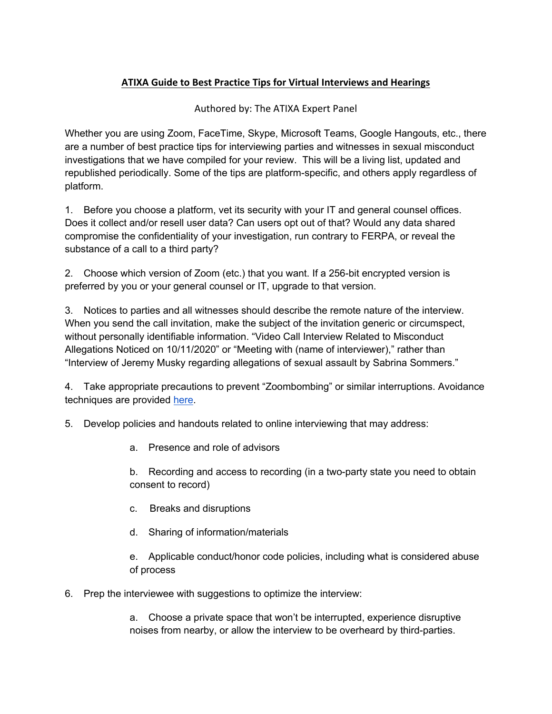## **ATIXA Guide to Best Practice Tips for Virtual Interviews and Hearings**

## Authored by: The ATIXA Expert Panel

Whether you are using Zoom, FaceTime, Skype, Microsoft Teams, Google Hangouts, etc., there are a number of best practice tips for interviewing parties and witnesses in sexual misconduct investigations that we have compiled for your review. This will be a living list, updated and republished periodically. Some of the tips are platform-specific, and others apply regardless of platform.

1. Before you choose a platform, vet its security with your IT and general counsel offices. Does it collect and/or resell user data? Can users opt out of that? Would any data shared compromise the confidentiality of your investigation, run contrary to FERPA, or reveal the substance of a call to a third party?

2. Choose which version of Zoom (etc.) that you want. If a 256-bit encrypted version is preferred by you or your general counsel or IT, upgrade to that version.

3. Notices to parties and all witnesses should describe the remote nature of the interview. When you send the call invitation, make the subject of the invitation generic or circumspect, without personally identifiable information. "Video Call Interview Related to Misconduct Allegations Noticed on 10/11/2020" or "Meeting with (name of interviewer)," rather than "Interview of Jeremy Musky regarding allegations of sexual assault by Sabrina Sommers."

4. Take appropriate precautions to prevent "Zoombombing" or similar interruptions. Avoidance techniques are provided here.

5. Develop policies and handouts related to online interviewing that may address:

a. Presence and role of advisors

b. Recording and access to recording (in a two-party state you need to obtain consent to record)

- c. Breaks and disruptions
- d. Sharing of information/materials

e. Applicable conduct/honor code policies, including what is considered abuse of process

6. Prep the interviewee with suggestions to optimize the interview:

a. Choose a private space that won't be interrupted, experience disruptive noises from nearby, or allow the interview to be overheard by third-parties.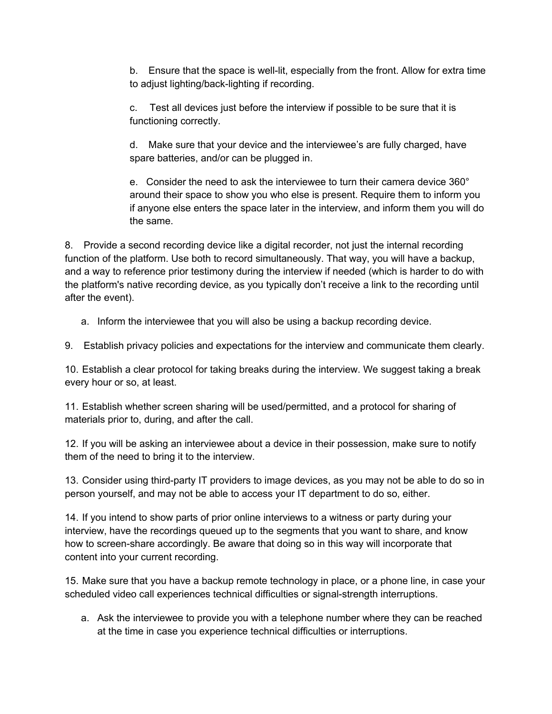b. Ensure that the space is well-lit, especially from the front. Allow for extra time to adjust lighting/back-lighting if recording.

c. Test all devices just before the interview if possible to be sure that it is functioning correctly.

d. Make sure that your device and the interviewee's are fully charged, have spare batteries, and/or can be plugged in.

e. Consider the need to ask the interviewee to turn their camera device 360° around their space to show you who else is present. Require them to inform you if anyone else enters the space later in the interview, and inform them you will do the same.

8. Provide a second recording device like a digital recorder, not just the internal recording function of the platform. Use both to record simultaneously. That way, you will have a backup, and a way to reference prior testimony during the interview if needed (which is harder to do with the platform's native recording device, as you typically don't receive a link to the recording until after the event).

a. Inform the interviewee that you will also be using a backup recording device.

9. Establish privacy policies and expectations for the interview and communicate them clearly.

10. Establish a clear protocol for taking breaks during the interview. We suggest taking a break every hour or so, at least.

11. Establish whether screen sharing will be used/permitted, and a protocol for sharing of materials prior to, during, and after the call.

12. If you will be asking an interviewee about a device in their possession, make sure to notify them of the need to bring it to the interview.

13. Consider using third-party IT providers to image devices, as you may not be able to do so in person yourself, and may not be able to access your IT department to do so, either.

14. If you intend to show parts of prior online interviews to a witness or party during your interview, have the recordings queued up to the segments that you want to share, and know how to screen-share accordingly. Be aware that doing so in this way will incorporate that content into your current recording.

15. Make sure that you have a backup remote technology in place, or a phone line, in case your scheduled video call experiences technical difficulties or signal-strength interruptions.

a. Ask the interviewee to provide you with a telephone number where they can be reached at the time in case you experience technical difficulties or interruptions.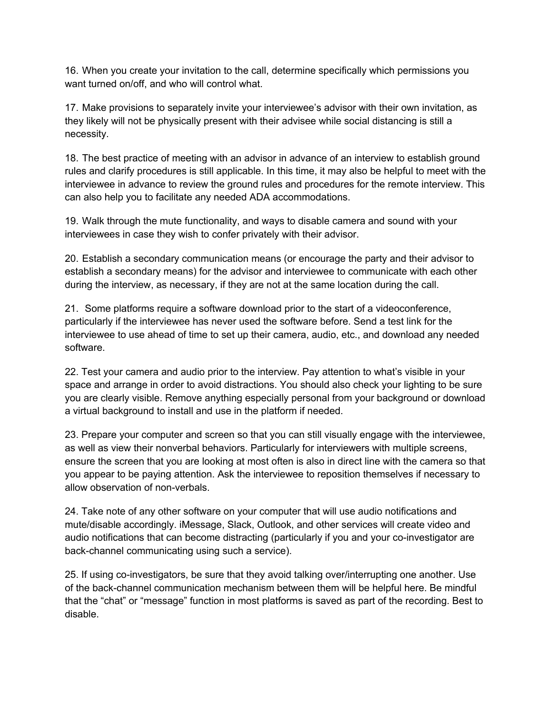16. When you create your invitation to the call, determine specifically which permissions you want turned on/off, and who will control what.

17. Make provisions to separately invite your interviewee's advisor with their own invitation, as they likely will not be physically present with their advisee while social distancing is still a necessity.

18. The best practice of meeting with an advisor in advance of an interview to establish ground rules and clarify procedures is still applicable. In this time, it may also be helpful to meet with the interviewee in advance to review the ground rules and procedures for the remote interview. This can also help you to facilitate any needed ADA accommodations.

19. Walk through the mute functionality, and ways to disable camera and sound with your interviewees in case they wish to confer privately with their advisor.

20. Establish a secondary communication means (or encourage the party and their advisor to establish a secondary means) for the advisor and interviewee to communicate with each other during the interview, as necessary, if they are not at the same location during the call.

21. Some platforms require a software download prior to the start of a videoconference, particularly if the interviewee has never used the software before. Send a test link for the interviewee to use ahead of time to set up their camera, audio, etc., and download any needed software.

22. Test your camera and audio prior to the interview. Pay attention to what's visible in your space and arrange in order to avoid distractions. You should also check your lighting to be sure you are clearly visible. Remove anything especially personal from your background or download a virtual background to install and use in the platform if needed.

23. Prepare your computer and screen so that you can still visually engage with the interviewee, as well as view their nonverbal behaviors. Particularly for interviewers with multiple screens, ensure the screen that you are looking at most often is also in direct line with the camera so that you appear to be paying attention. Ask the interviewee to reposition themselves if necessary to allow observation of non-verbals.

24. Take note of any other software on your computer that will use audio notifications and mute/disable accordingly. iMessage, Slack, Outlook, and other services will create video and audio notifications that can become distracting (particularly if you and your co-investigator are back-channel communicating using such a service).

25. If using co-investigators, be sure that they avoid talking over/interrupting one another. Use of the back-channel communication mechanism between them will be helpful here. Be mindful that the "chat" or "message" function in most platforms is saved as part of the recording. Best to disable.